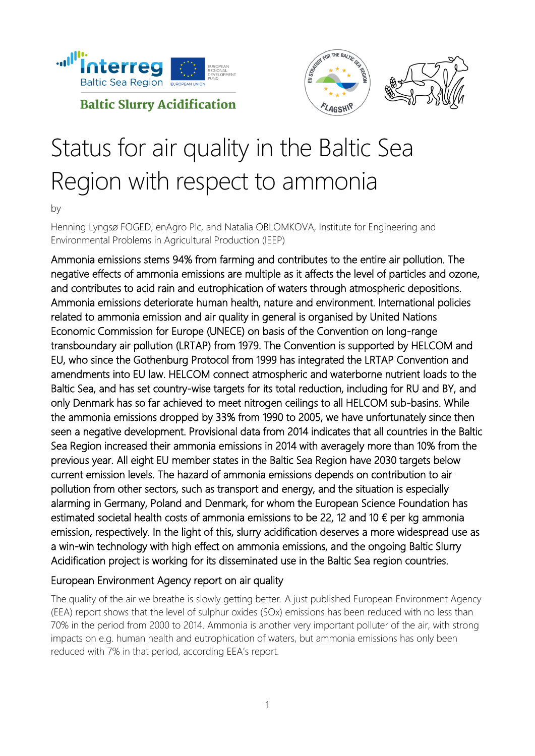



# Status for air quality in the Baltic Sea Region with respect to ammonia

by

Henning Lyngsø FOGED, enAgro Plc, and Natalia OBLOMKOVA, Institute for Engineering and Environmental Problems in Agricultural Production (IEEP)

Ammonia emissions stems 94% from farming and contributes to the entire air pollution. The negative effects of ammonia emissions are multiple as it affects the level of particles and ozone, and contributes to acid rain and eutrophication of waters through atmospheric depositions. Ammonia emissions deteriorate human health, nature and environment. International policies related to ammonia emission and air quality in general is organised by United Nations Economic Commission for Europe (UNECE) on basis of the Convention on long-range transboundary air pollution (LRTAP) from 1979. The Convention is supported by HELCOM and EU, who since the Gothenburg Protocol from 1999 has integrated the LRTAP Convention and amendments into EU law. HELCOM connect atmospheric and waterborne nutrient loads to the Baltic Sea, and has set country-wise targets for its total reduction, including for RU and BY, and only Denmark has so far achieved to meet nitrogen ceilings to all HELCOM sub-basins. While the ammonia emissions dropped by 33% from 1990 to 2005, we have unfortunately since then seen a negative development. Provisional data from 2014 indicates that all countries in the Baltic Sea Region increased their ammonia emissions in 2014 with averagely more than 10% from the previous year. All eight EU member states in the Baltic Sea Region have 2030 targets below current emission levels. The hazard of ammonia emissions depends on contribution to air pollution from other sectors, such as transport and energy, and the situation is especially alarming in Germany, Poland and Denmark, for whom the European Science Foundation has estimated societal health costs of ammonia emissions to be 22, 12 and 10  $\epsilon$  per kg ammonia emission, respectively. In the light of this, slurry acidification deserves a more widespread use as a win-win technology with high effect on ammonia emissions, and the ongoing Baltic Slurry Acidification project is working for its disseminated use in the Baltic Sea region countries.

#### European Environment Agency report on air quality

The quality of the air we breathe is slowly getting better. A just published European Environment Agency (EEA) report shows that the level of sulphur oxides (SOx) emissions has been reduced with no less than 70% in the period from 2000 to 2014. Ammonia is another very important polluter of the air, with strong impacts on e.g. human health and eutrophication of waters, but ammonia emissions has only been reduced with 7% in that period, according EEA's report.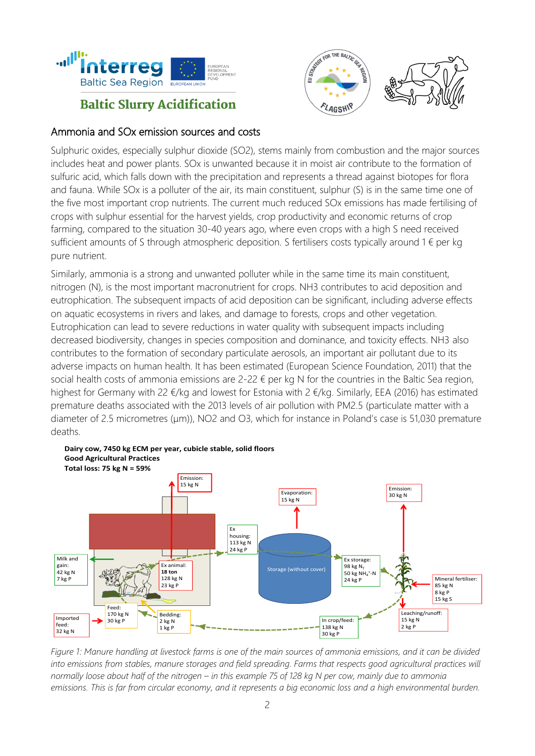



### Ammonia and SOx emission sources and costs

Sulphuric oxides, especially sulphur dioxide (SO2), stems mainly from combustion and the major sources includes heat and power plants. SOx is unwanted because it in moist air contribute to the formation of sulfuric acid, which falls down with the precipitation and represents a thread against biotopes for flora and fauna. While SOx is a polluter of the air, its main constituent, sulphur (S) is in the same time one of the five most important crop nutrients. The current much reduced SOx emissions has made fertilising of crops with sulphur essential for the harvest yields, crop productivity and economic returns of crop farming, compared to the situation 30-40 years ago, where even crops with a high S need received sufficient amounts of S through atmospheric deposition. S fertilisers costs typically around 1 € per kg pure nutrient.

Similarly, ammonia is a strong and unwanted polluter while in the same time its main constituent, nitrogen (N), is the most important macronutrient for crops. NH3 contributes to acid deposition and eutrophication. The subsequent impacts of acid deposition can be significant, including adverse effects on aquatic ecosystems in rivers and lakes, and damage to forests, crops and other vegetation. Eutrophication can lead to severe reductions in water quality with subsequent impacts including decreased biodiversity, changes in species composition and dominance, and toxicity effects. NH3 also contributes to the formation of secondary particulate aerosols, an important air pollutant due to its adverse impacts on human health. It has been estimated (European Science Foundation, 2011) that the social health costs of ammonia emissions are 2-22 € per kg N for the countries in the Baltic Sea region, highest for Germany with 22 €/kg and lowest for Estonia with 2 €/kg. Similarly, EEA (2016) has estimated premature deaths associated with the 2013 levels of air pollution with PM2.5 (particulate matter with a diameter of 2.5 micrometres (μm)), NO2 and O3, which for instance in Poland's case is 51,030 premature deaths.



*Figure 1: Manure handling at livestock farms is one of the main sources of ammonia emissions, and it can be divided into emissions from stables, manure storages and field spreading. Farms that respects good agricultural practices will normally loose about half of the nitrogen – in this example 75 of 128 kg N per cow, mainly due to ammonia emissions. This is far from circular economy, and it represents a big economic loss and a high environmental burden.*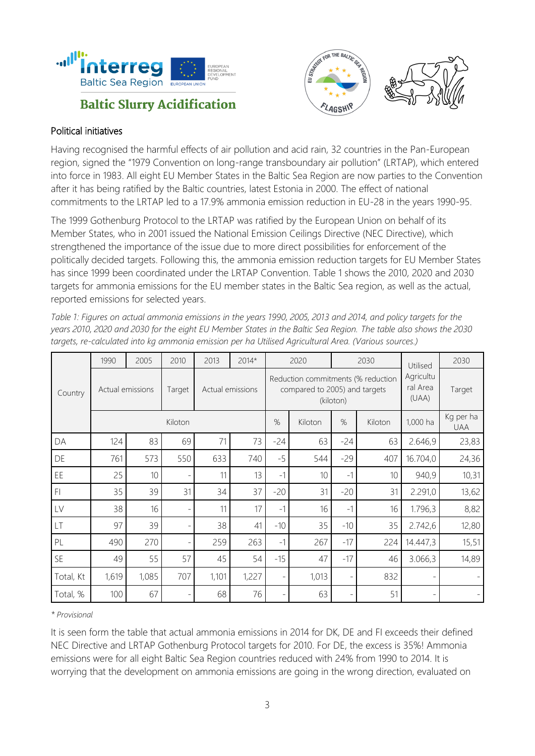



#### Political initiatives

Having recognised the harmful effects of air pollution and acid rain, 32 countries in the Pan-European region, signed the "1979 Convention on long-range transboundary air pollution" (LRTAP), which entered into force in 1983. All eight EU Member States in the Baltic Sea Region are now parties to the Convention after it has being ratified by the Baltic countries, latest Estonia in 2000. The effect of national commitments to the LRTAP led to a 17.9% ammonia emission reduction in EU-28 in the years 1990-95.

The 1999 Gothenburg Protocol to the LRTAP was ratified by the European Union on behalf of its Member States, who in 2001 issued the National Emission Ceilings Directive (NEC Directive), which strengthened the importance of the issue due to more direct possibilities for enforcement of the politically decided targets. Following this, the ammonia emission reduction targets for EU Member States has since 1999 been coordinated under the LRTAP Convention. Table 1 shows the 2010, 2020 and 2030 targets for ammonia emissions for the EU member states in the Baltic Sea region, as well as the actual, reported emissions for selected years.

| Country   | 1990             | 2005  | 2010           | 2013             | $2014*$ |                          | 2020    |                                                                                  | 2030    | Utilised                       | 2030                     |
|-----------|------------------|-------|----------------|------------------|---------|--------------------------|---------|----------------------------------------------------------------------------------|---------|--------------------------------|--------------------------|
|           | Actual emissions |       | Target         | Actual emissions |         |                          |         | Reduction commitments (% reduction<br>compared to 2005) and targets<br>(kiloton) |         | Agricultu<br>ral Area<br>(UAA) | Target                   |
|           | Kiloton          |       |                |                  |         | %                        | Kiloton | %                                                                                | Kiloton | 1,000 ha                       | Kg per ha<br><b>UAA</b>  |
| DA        | 124              | 83    | 69             | 71               | 73      | $-24$                    | 63      | $-24$                                                                            | 63      | 2.646,9                        | 23,83                    |
| DE        | 761              | 573   | 550            | 633              | 740     | $-5$                     | 544     | $-29$                                                                            | 407     | 16.704,0                       | 24,36                    |
| EE        | 25               | 10    |                | 11               | 13      | $-1$                     | 10      | $-1$                                                                             | 10      | 940,9                          | 10,31                    |
| FI        | 35               | 39    | 31             | 34               | 37      | $-20$                    | 31      | $-20$                                                                            | 31      | 2.291,0                        | 13,62                    |
| LV        | 38               | 16    | $\overline{a}$ | 11               | 17      | $-1$                     | 16      | $-1$                                                                             | 16      | 1.796,3                        | 8,82                     |
| LT        | 97               | 39    |                | 38               | 41      | $-10$                    | 35      | $-10$                                                                            | 35      | 2.742,6                        | 12,80                    |
| PL        | 490              | 270   | $\overline{a}$ | 259              | 263     | $-1$                     | 267     | $-17$                                                                            | 224     | 14.447,3                       | 15,51                    |
| SE        | 49               | 55    | 57             | 45               | 54      | $-15$                    | 47      | $-17$                                                                            | 46      | 3.066,3                        | 14,89                    |
| Total, Kt | 1,619            | 1,085 | 707            | 1,101            | 1,227   | $\overline{\phantom{0}}$ | 1,013   |                                                                                  | 832     |                                | $\overline{\phantom{a}}$ |
| Total, %  | 100              | 67    |                | 68               | 76      |                          | 63      |                                                                                  | 51      |                                |                          |

*Table 1: Figures on actual ammonia emissions in the years 1990, 2005, 2013 and 2014, and policy targets for the years 2010, 2020 and 2030 for the eight EU Member States in the Baltic Sea Region. The table also shows the 2030 targets, re-calculated into kg ammonia emission per ha Utilised Agricultural Area. (Various sources.)*

#### *\* Provisional*

It is seen form the table that actual ammonia emissions in 2014 for DK, DE and FI exceeds their defined NEC Directive and LRTAP Gothenburg Protocol targets for 2010. For DE, the excess is 35%! Ammonia emissions were for all eight Baltic Sea Region countries reduced with 24% from 1990 to 2014. It is worrying that the development on ammonia emissions are going in the wrong direction, evaluated on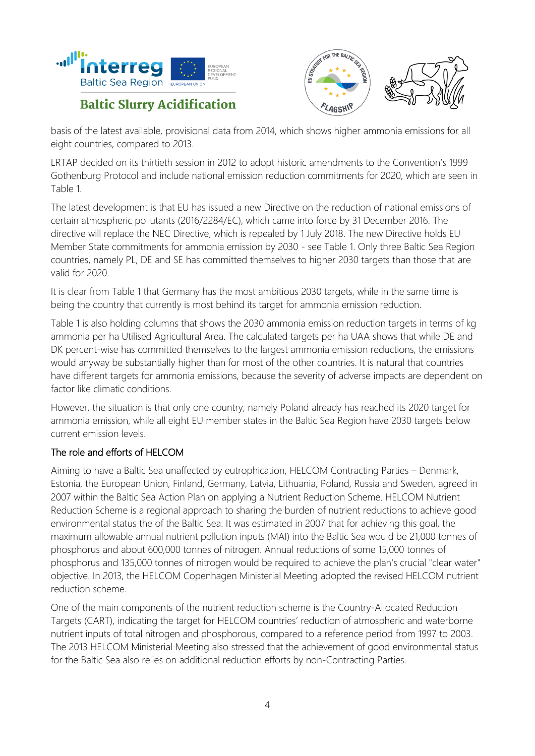



basis of the latest available, provisional data from 2014, which shows higher ammonia emissions for all eight countries, compared to 2013.

LRTAP decided on its thirtieth session in 2012 to adopt historic amendments to the Convention's 1999 Gothenburg Protocol and include national emission reduction commitments for 2020, which are seen in Table 1.

The latest development is that EU has issued a new Directive on the reduction of national emissions of certain atmospheric pollutants (2016/2284/EC), which came into force by 31 December 2016. The directive will replace the NEC Directive, which is repealed by 1 July 2018. The new Directive holds EU Member State commitments for ammonia emission by 2030 - see Table 1. Only three Baltic Sea Region countries, namely PL, DE and SE has committed themselves to higher 2030 targets than those that are valid for 2020.

It is clear from Table 1 that Germany has the most ambitious 2030 targets, while in the same time is being the country that currently is most behind its target for ammonia emission reduction.

Table 1 is also holding columns that shows the 2030 ammonia emission reduction targets in terms of kg ammonia per ha Utilised Agricultural Area. The calculated targets per ha UAA shows that while DE and DK percent-wise has committed themselves to the largest ammonia emission reductions, the emissions would anyway be substantially higher than for most of the other countries. It is natural that countries have different targets for ammonia emissions, because the severity of adverse impacts are dependent on factor like climatic conditions.

However, the situation is that only one country, namely Poland already has reached its 2020 target for ammonia emission, while all eight EU member states in the Baltic Sea Region have 2030 targets below current emission levels.

#### The role and efforts of HELCOM

Aiming to have a Baltic Sea unaffected by eutrophication, HELCOM Contracting Parties – Denmark, Estonia, the European Union, Finland, Germany, Latvia, Lithuania, Poland, Russia and Sweden, agreed in 2007 within the Baltic Sea Action Plan on applying a Nutrient Reduction Scheme. HELCOM Nutrient Reduction Scheme is a regional approach to sharing the burden of nutrient reductions to achieve good environmental status the of the Baltic Sea. It was estimated in 2007 that for achieving this goal, the maximum allowable annual nutrient pollution inputs (MAI) into the Baltic Sea would be 21,000 tonnes of phosphorus and about 600,000 tonnes of nitrogen. Annual reductions of some 15,000 tonnes of phosphorus and 135,000 tonnes of nitrogen would be required to achieve the plan's crucial "clear water" objective. In 2013, the HELCOM Copenhagen Ministerial Meeting adopted the revised HELCOM nutrient reduction scheme.

One of the main components of the nutrient reduction scheme is the Country-Allocated Reduction Targets (CART), indicating the target for HELCOM countries' reduction of atmospheric and waterborne nutrient inputs of total nitrogen and phosphorous, compared to a reference period from 1997 to 2003. The 2013 HELCOM Ministerial Meeting also stressed that the achievement of good environmental status for the Baltic Sea also relies on additional reduction efforts by non-Contracting Parties.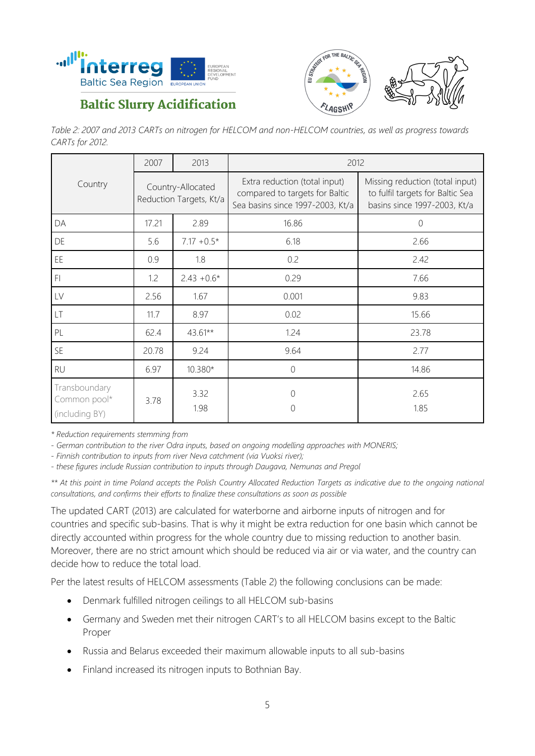



*Table 2: 2007 and 2013 CARTs on nitrogen for HELCOM and non-HELCOM countries, as well as progress towards CARTs for 2012.*

|                                                 | 2007  | 2013                                         | 2012                                                                                                |                                                                                                     |  |  |  |
|-------------------------------------------------|-------|----------------------------------------------|-----------------------------------------------------------------------------------------------------|-----------------------------------------------------------------------------------------------------|--|--|--|
| Country                                         |       | Country-Allocated<br>Reduction Targets, Kt/a | Extra reduction (total input)<br>compared to targets for Baltic<br>Sea basins since 1997-2003, Kt/a | Missing reduction (total input)<br>to fulfil targets for Baltic Sea<br>basins since 1997-2003, Kt/a |  |  |  |
| DA                                              | 17.21 | 2.89                                         | 16.86                                                                                               | $\overline{0}$                                                                                      |  |  |  |
| DE                                              | 5.6   | $7.17 + 0.5*$                                | 6.18                                                                                                | 2.66                                                                                                |  |  |  |
| EE                                              | 0.9   | 1.8                                          | 0.2                                                                                                 | 2.42                                                                                                |  |  |  |
| F <sub>1</sub>                                  | 1.2   | $2.43 + 0.6*$                                | 0.29                                                                                                | 7.66                                                                                                |  |  |  |
| LV                                              | 2.56  | 1.67                                         | 0.001                                                                                               | 9.83                                                                                                |  |  |  |
| LT                                              | 11.7  | 8.97                                         | 0.02                                                                                                | 15.66                                                                                               |  |  |  |
| PL                                              | 62.4  | 43.61**                                      | 1.24                                                                                                | 23.78                                                                                               |  |  |  |
| SE                                              | 20.78 | 9.24                                         | 9.64                                                                                                | 2.77                                                                                                |  |  |  |
| <b>RU</b>                                       | 6.97  | 10.380*                                      | $\Omega$                                                                                            | 14.86                                                                                               |  |  |  |
| Transboundary<br>Common pool*<br>(including BY) | 3.78  | 3.32<br>1.98                                 | 0<br>0                                                                                              | 2.65<br>1.85                                                                                        |  |  |  |

*\* Reduction requirements stemming from* 

*- German contribution to the river Odra inputs, based on ongoing modelling approaches with MONERIS;*

*- Finnish contribution to inputs from river Neva catchment (via Vuoksi river);*

*- these figures include Russian contribution to inputs through Daugava, Nemunas and Pregol*

*\*\* At this point in time Poland accepts the Polish Country Allocated Reduction Targets as indicative due to the ongoing national consultations, and confirms their efforts to finalize these consultations as soon as possible*

The updated CART (2013) are calculated for waterborne and airborne inputs of nitrogen and for countries and specific sub-basins. That is why it might be extra reduction for one basin which cannot be directly accounted within progress for the whole country due to missing reduction to another basin. Moreover, there are no strict amount which should be reduced via air or via water, and the country can decide how to reduce the total load.

Per the latest results of HELCOM assessments (Table 2) the following conclusions can be made:

- Denmark fulfilled nitrogen ceilings to all HELCOM sub-basins
- Germany and Sweden met their nitrogen CART's to all HELCOM basins except to the Baltic Proper
- Russia and Belarus exceeded their maximum allowable inputs to all sub-basins
- Finland increased its nitrogen inputs to Bothnian Bay.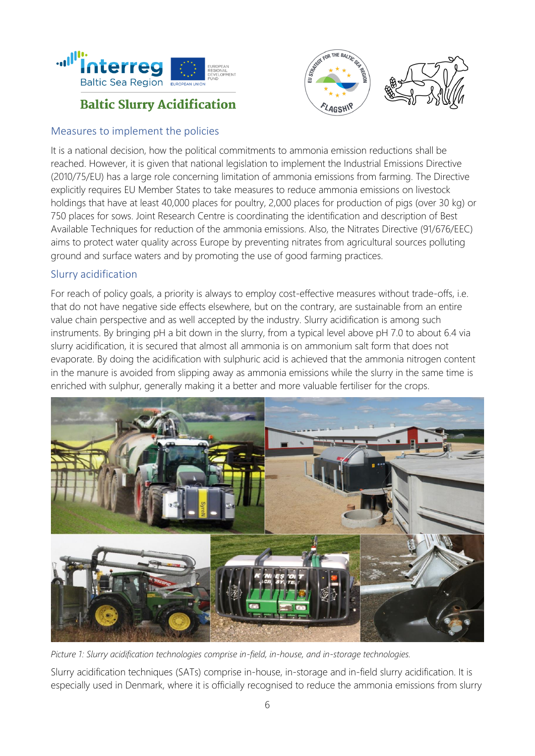



#### Measures to implement the policies

It is a national decision, how the political commitments to ammonia emission reductions shall be reached. However, it is given that national legislation to implement the Industrial Emissions Directive (2010/75/EU) has a large role concerning limitation of ammonia emissions from farming. The Directive explicitly requires EU Member States to take measures to reduce ammonia emissions on livestock holdings that have at least 40,000 places for poultry, 2,000 places for production of pigs (over 30 kg) or 750 places for sows. Joint Research Centre is coordinating the identification and description of Best Available Techniques for reduction of the ammonia emissions. Also, the Nitrates Directive (91/676/EEC) aims to protect water quality across Europe by preventing nitrates from agricultural sources polluting ground and surface waters and by promoting the use of good farming practices.

#### Slurry acidification

For reach of policy goals, a priority is always to employ cost-effective measures without trade-offs, i.e. that do not have negative side effects elsewhere, but on the contrary, are sustainable from an entire value chain perspective and as well accepted by the industry. Slurry acidification is among such instruments. By bringing pH a bit down in the slurry, from a typical level above pH 7.0 to about 6.4 via slurry acidification, it is secured that almost all ammonia is on ammonium salt form that does not evaporate. By doing the acidification with sulphuric acid is achieved that the ammonia nitrogen content in the manure is avoided from slipping away as ammonia emissions while the slurry in the same time is enriched with sulphur, generally making it a better and more valuable fertiliser for the crops.



*Picture 1: Slurry acidification technologies comprise in-field, in-house, and in-storage technologies.*

Slurry acidification techniques (SATs) comprise in-house, in-storage and in-field slurry acidification. It is especially used in Denmark, where it is officially recognised to reduce the ammonia emissions from slurry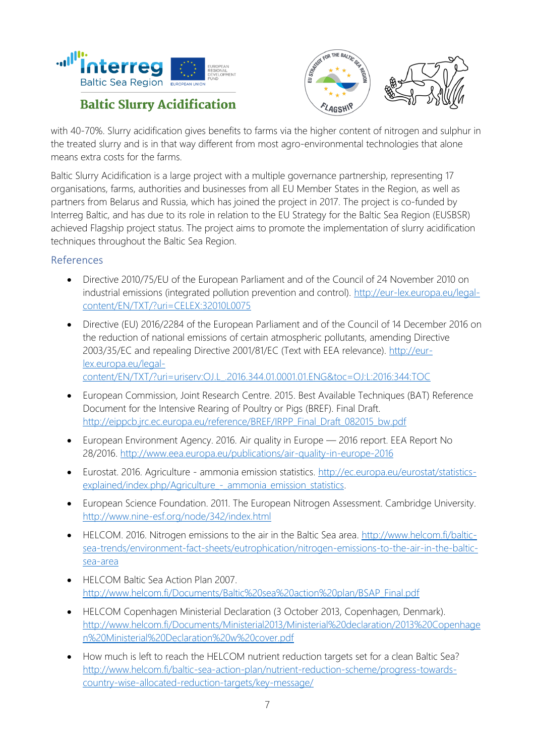



with 40-70%. Slurry acidification gives benefits to farms via the higher content of nitrogen and sulphur in the treated slurry and is in that way different from most agro-environmental technologies that alone means extra costs for the farms.

Baltic Slurry Acidification is a large project with a multiple governance partnership, representing 17 organisations, farms, authorities and businesses from all EU Member States in the Region, as well as partners from Belarus and Russia, which has joined the project in 2017. The project is co-funded by Interreg Baltic, and has due to its role in relation to the EU Strategy for the Baltic Sea Region (EUSBSR) achieved Flagship project status. The project aims to promote the implementation of slurry acidification techniques throughout the Baltic Sea Region.

#### References

- Directive 2010/75/EU of the European Parliament and of the Council of 24 November 2010 on industrial emissions (integrated pollution prevention and control). [http://eur-lex.europa.eu/legal](http://eur-lex.europa.eu/legal-content/EN/TXT/?uri=CELEX:32010L0075)[content/EN/TXT/?uri=CELEX:32010L0075](http://eur-lex.europa.eu/legal-content/EN/TXT/?uri=CELEX:32010L0075)
- Directive (EU) 2016/2284 of the European Parliament and of the Council of 14 December 2016 on the reduction of national emissions of certain atmospheric pollutants, amending Directive 2003/35/EC and repealing Directive 2001/81/EC (Text with EEA relevance). [http://eur](http://eur-lex.europa.eu/legal-content/EN/TXT/?uri=uriserv:OJ.L_.2016.344.01.0001.01.ENG&toc=OJ:L:2016:344:TOC)[lex.europa.eu/legal-](http://eur-lex.europa.eu/legal-content/EN/TXT/?uri=uriserv:OJ.L_.2016.344.01.0001.01.ENG&toc=OJ:L:2016:344:TOC)

[content/EN/TXT/?uri=uriserv:OJ.L\\_.2016.344.01.0001.01.ENG&toc=OJ:L:2016:344:TOC](http://eur-lex.europa.eu/legal-content/EN/TXT/?uri=uriserv:OJ.L_.2016.344.01.0001.01.ENG&toc=OJ:L:2016:344:TOC)

- European Commission, Joint Research Centre. 2015. Best Available Techniques (BAT) Reference Document for the Intensive Rearing of Poultry or Pigs (BREF). Final Draft. [http://eippcb.jrc.ec.europa.eu/reference/BREF/IRPP\\_Final\\_Draft\\_082015\\_bw.pdf](http://eippcb.jrc.ec.europa.eu/reference/BREF/IRPP_Final_Draft_082015_bw.pdf)
- European Environment Agency. 2016. Air quality in Europe 2016 report. EEA Report No 28/2016.<http://www.eea.europa.eu/publications/air-quality-in-europe-2016>
- Eurostat. 2016. Agriculture ammonia emission statistics. [http://ec.europa.eu/eurostat/statistics](http://ec.europa.eu/eurostat/statistics-explained/index.php/Agriculture_-_ammonia_emission_statistics)explained/index.php/Agriculture - ammonia emission statistics.
- European Science Foundation. 2011. The European Nitrogen Assessment. Cambridge University. <http://www.nine-esf.org/node/342/index.html>
- HELCOM. 2016. Nitrogen emissions to the air in the Baltic Sea area. [http://www.helcom.fi/baltic](http://www.helcom.fi/baltic-sea-trends/environment-fact-sheets/eutrophication/nitrogen-emissions-to-the-air-in-the-baltic-sea-area)[sea-trends/environment-fact-sheets/eutrophication/nitrogen-emissions-to-the-air-in-the-baltic](http://www.helcom.fi/baltic-sea-trends/environment-fact-sheets/eutrophication/nitrogen-emissions-to-the-air-in-the-baltic-sea-area)[sea-area](http://www.helcom.fi/baltic-sea-trends/environment-fact-sheets/eutrophication/nitrogen-emissions-to-the-air-in-the-baltic-sea-area)
- HELCOM Baltic Sea Action Plan 2007. [http://www.helcom.fi/Documents/Baltic%20sea%20action%20plan/BSAP\\_Final.pdf](http://www.helcom.fi/Documents/Baltic%20sea%20action%20plan/BSAP_Final.pdf)
- HELCOM Copenhagen Ministerial Declaration (3 October 2013, Copenhagen, Denmark). [http://www.helcom.fi/Documents/Ministerial2013/Ministerial%20declaration/2013%20Copenhage](http://www.helcom.fi/Documents/Ministerial2013/Ministerial%20declaration/2013%20Copenhagen%20Ministerial%20Declaration%20w%20cover.pdf) [n%20Ministerial%20Declaration%20w%20cover.pdf](http://www.helcom.fi/Documents/Ministerial2013/Ministerial%20declaration/2013%20Copenhagen%20Ministerial%20Declaration%20w%20cover.pdf)
- How much is left to reach the HELCOM nutrient reduction targets set for a clean Baltic Sea? [http://www.helcom.fi/baltic-sea-action-plan/nutrient-reduction-scheme/progress-towards](http://www.helcom.fi/baltic-sea-action-plan/nutrient-reduction-scheme/progress-towards-country-wise-allocated-reduction-targets/key-message/)[country-wise-allocated-reduction-targets/key-message/](http://www.helcom.fi/baltic-sea-action-plan/nutrient-reduction-scheme/progress-towards-country-wise-allocated-reduction-targets/key-message/)